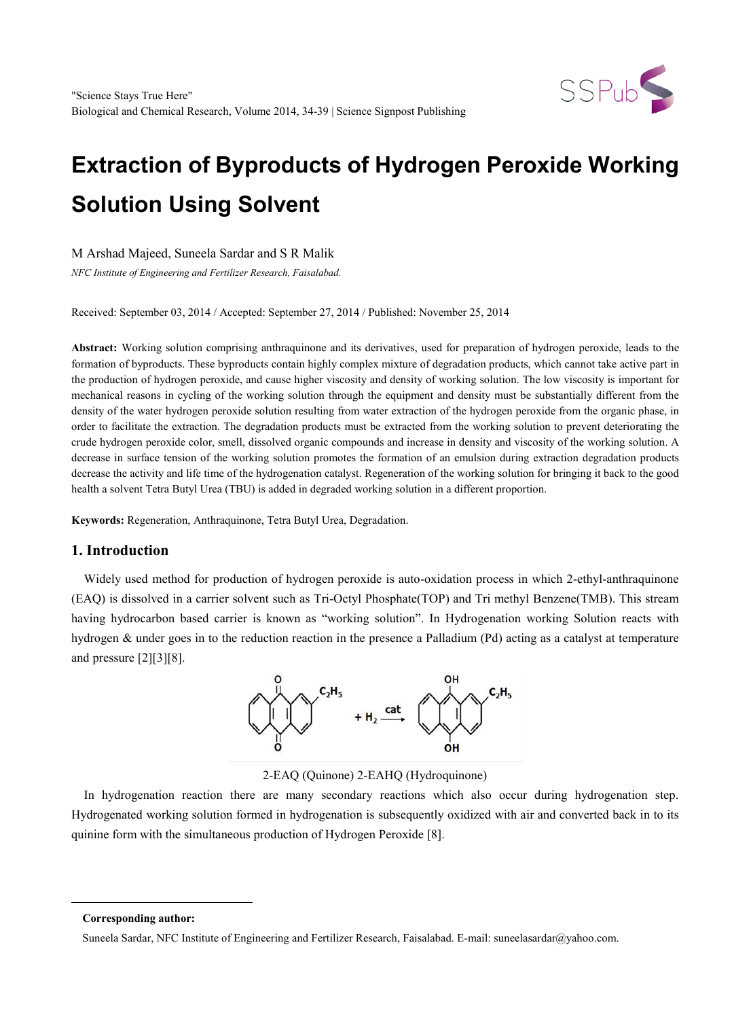

# **Extraction of Byproducts of Hydrogen Peroxide Working Solution Using Solvent**

# M Arshad Majeed, Suneela Sardar and S R Malik

*NFC Institute of Engineering and Fertilizer Research, Faisalabad.*

Received: September 03, 2014 / Accepted: September 27, 2014 / Published: November 25, 2014

**Abstract:** Working solution comprising anthraquinone and its derivatives, used for preparation of hydrogen peroxide, leads to the formation of byproducts. These byproducts contain highly complex mixture of degradation products, which cannot take active part in the production of hydrogen peroxide, and cause higher viscosity and density of working solution. The low viscosity is important for mechanical reasons in cycling of the working solution through the equipment and density must be substantially different from the density of the water hydrogen peroxide solution resulting from water extraction of the hydrogen peroxide from the organic phase, in order to facilitate the extraction. The degradation products must be extracted from the working solution to prevent deteriorating the crude hydrogen peroxide color, smell, dissolved organic compounds and increase in density and viscosity of the working solution. A decrease in surface tension of the working solution promotes the formation of an emulsion during extraction degradation products decrease the activity and life time of the hydrogenation catalyst. Regeneration of the working solution for bringing it back to the good health a solvent Tetra Butyl Urea (TBU) is added in degraded working solution in a different proportion.

**Keywords:** Regeneration, Anthraquinone, Tetra Butyl Urea, Degradation.

# **1. Introduction**

Widely used method for production of hydrogen peroxide is auto-oxidation process in which 2-ethyl-anthraquinone (EAQ) is dissolved in a carrier solvent such as Tri-Octyl Phosphate(TOP) and Tri methyl Benzene(TMB). This stream having hydrocarbon based carrier is known as "working solution". In Hydrogenation working Solution reacts with hydrogen & under goes in to the reduction reaction in the presence a Palladium (Pd) acting as a catalyst at temperature and pressure [2][3][8].



2-EAQ (Quinone) 2-EAHQ (Hydroquinone)

In hydrogenation reaction there are many secondary reactions which also occur during hydrogenation step. Hydrogenated working solution formed in hydrogenation is subsequently oxidized with air and converted back in to its quinine form with the simultaneous production of Hydrogen Peroxide [8].

**Corresponding author:**

<span id="page-0-0"></span>-

Suneela Sardar, NFC Institute of Engineering and Fertilizer Research, Faisalabad. E-mail: suneelasardar@yahoo.com.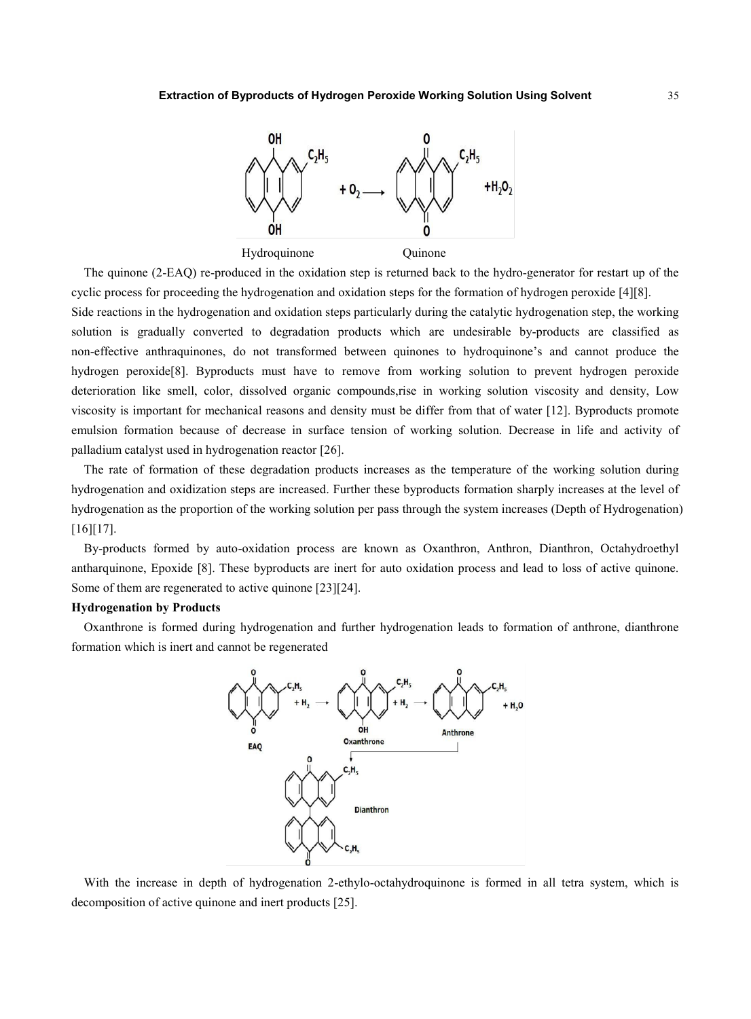

The quinone (2-EAQ) re-produced in the oxidation step is returned back to the hydro-generator for restart up of the cyclic process for proceeding the hydrogenation and oxidation steps for the formation of hydrogen peroxide [4][8].

Side reactions in the hydrogenation and oxidation steps particularly during the catalytic hydrogenation step, the working solution is gradually converted to degradation products which are undesirable by-products are classified as non-effective anthraquinones, do not transformed between quinones to hydroquinone's and cannot produce the hydrogen peroxide[8]. Byproducts must have to remove from working solution to prevent hydrogen peroxide deterioration like smell, color, dissolved organic compounds,rise in working solution viscosity and density, Low viscosity is important for mechanical reasons and density must be differ from that of water [12]. Byproducts promote emulsion formation because of decrease in surface tension of working solution. Decrease in life and activity of palladium catalyst used in hydrogenation reactor [26].

The rate of formation of these degradation products increases as the temperature of the working solution during hydrogenation and oxidization steps are increased. Further these byproducts formation sharply increases at the level of hydrogenation as the proportion of the working solution per pass through the system increases (Depth of Hydrogenation) [16][17].

By-products formed by auto-oxidation process are known as Oxanthron, Anthron, Dianthron, Octahydroethyl antharquinone, Epoxide [8]. These byproducts are inert for auto oxidation process and lead to loss of active quinone. Some of them are regenerated to active quinone [23][24].

#### **Hydrogenation by Products**

Oxanthrone is formed during hydrogenation and further hydrogenation leads to formation of anthrone, dianthrone formation which is inert and cannot be regenerated



With the increase in depth of hydrogenation 2-ethylo-octahydroquinone is formed in all tetra system, which is decomposition of active quinone and inert products [25].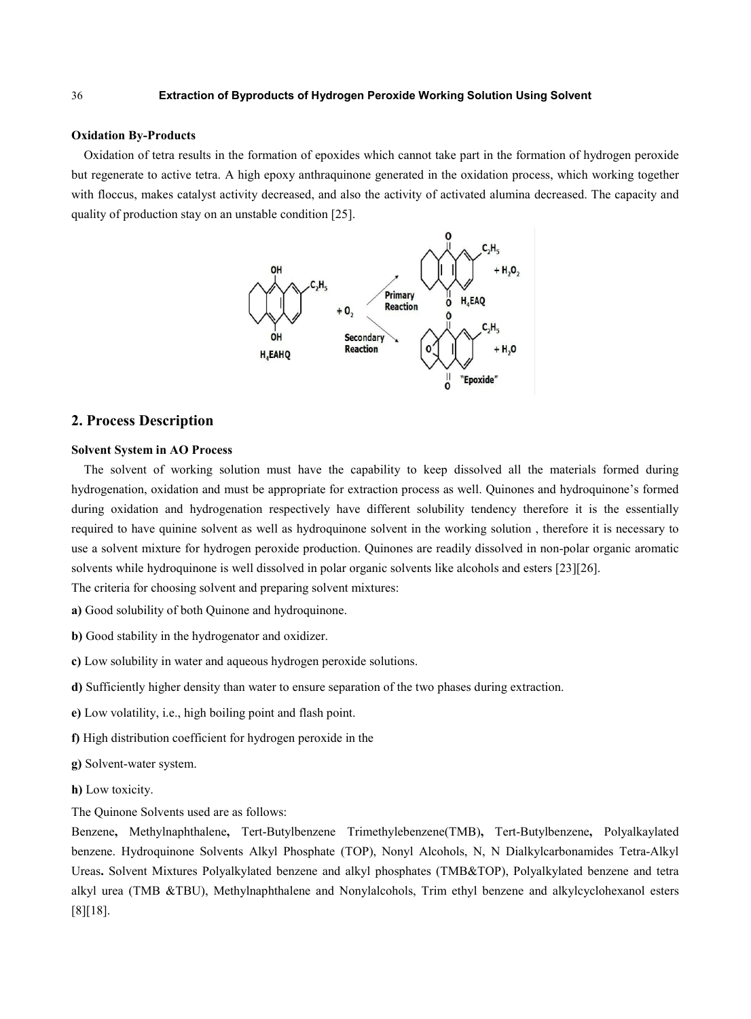#### **Oxidation By-Products**

Oxidation of tetra results in the formation of epoxides which cannot take part in the formation of hydrogen peroxide but regenerate to active tetra. A high epoxy anthraquinone generated in the oxidation process, which working together with floccus, makes catalyst activity decreased, and also the activity of activated alumina decreased. The capacity and quality of production stay on an unstable condition [25].



#### **2. Process Description**

#### **Solvent System in AO Process**

The solvent of working solution must have the capability to keep dissolved all the materials formed during hydrogenation, oxidation and must be appropriate for extraction process as well. Quinones and hydroquinone's formed during oxidation and hydrogenation respectively have different solubility tendency therefore it is the essentially required to have quinine solvent as well as hydroquinone solvent in the working solution , therefore it is necessary to use a solvent mixture for hydrogen peroxide production. Quinones are readily dissolved in non-polar organic aromatic solvents while hydroquinone is well dissolved in polar organic solvents like alcohols and esters [23][26].

The criteria for choosing solvent and preparing solvent mixtures:

- **a)** Good solubility of both Quinone and hydroquinone.
- **b)** Good stability in the hydrogenator and oxidizer.
- **c)** Low solubility in water and aqueous hydrogen peroxide solutions.
- **d)** Sufficiently higher density than water to ensure separation of the two phases during extraction.
- **e)** Low volatility, i.e., high boiling point and flash point.
- **f)** High distribution coefficient for hydrogen peroxide in the
- **g)** Solvent-water system.
- **h)** Low toxicity.

The Quinone Solvents used are as follows:

Benzene**,** Methylnaphthalene**,** Tert-Butylbenzene Trimethylebenzene(TMB)**,** Tert-Butylbenzene**,** Polyalkaylated benzene. Hydroquinone Solvents Alkyl Phosphate (TOP), Nonyl Alcohols, N, N Dialkylcarbonamides Tetra-Alkyl Ureas**.** Solvent Mixtures Polyalkylated benzene and alkyl phosphates (TMB&TOP), Polyalkylated benzene and tetra alkyl urea (TMB &TBU), Methylnaphthalene and Nonylalcohols, Trim ethyl benzene and alkylcyclohexanol esters [8][18].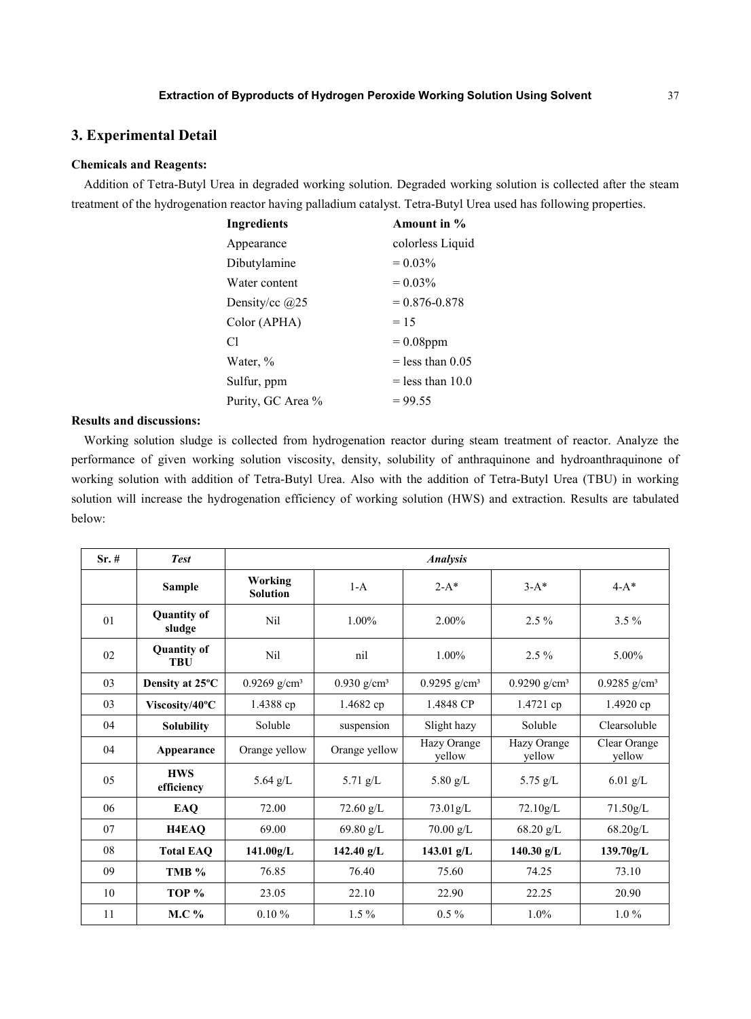#### **3. Experimental Detail**

# **Chemicals and Reagents:**

Addition of Tetra-Butyl Urea in degraded working solution. Degraded working solution is collected after the steam treatment of the hydrogenation reactor having palladium catalyst. Tetra-Butyl Urea used has following properties.

| <b>Ingredients</b> | Amount in %        |
|--------------------|--------------------|
| Appearance         | colorless Liquid   |
| Dibutylamine       | $= 0.03\%$         |
| Water content      | $= 0.03\%$         |
| Density/cc $@25$   | $= 0.876 - 0.878$  |
| Color (APHA)       | $=15$              |
| Cl                 | $= 0.08$ ppm       |
| Water, %           | $=$ less than 0.05 |
| Sulfur, ppm        | $=$ less than 10.0 |
| Purity, GC Area %  | $= 99.55$          |

### **Results and discussions:**

Working solution sludge is collected from hydrogenation reactor during steam treatment of reactor. Analyze the performance of given working solution viscosity, density, solubility of anthraquinone and hydroanthraquinone of working solution with addition of Tetra-Butyl Urea. Also with the addition of Tetra-Butyl Urea (TBU) in working solution will increase the hydrogenation efficiency of working solution (HWS) and extraction. Results are tabulated below:

| Sr.# | <b>Test</b>                      | <b>Analysis</b>            |                           |                            |                       |                            |
|------|----------------------------------|----------------------------|---------------------------|----------------------------|-----------------------|----------------------------|
|      | <b>Sample</b>                    | Working<br><b>Solution</b> | $1-A$                     | $2-A*$                     | $3-A*$                | $4-A*$                     |
| 01   | <b>Quantity of</b><br>sludge     | Nil                        | 1.00%                     | 2.00%                      | $2.5\%$               | $3.5\%$                    |
| 02   | <b>Quantity of</b><br><b>TBU</b> | Nil                        | nil                       | 1.00%                      | $2.5\%$               | 5.00%                      |
| 03   | Density at 25°C                  | 0.9269 $g/cm^3$            | $0.930$ g/cm <sup>3</sup> | $0.9295$ g/cm <sup>3</sup> | 0.9290 $g/cm^3$       | $0.9285$ g/cm <sup>3</sup> |
| 03   | Viscosity/40°C                   | 1.4388 cp                  | 1.4682 cp                 | 1.4848 CP                  | 1.4721 cp             | 1.4920 cp                  |
| 04   | <b>Solubility</b>                | Soluble                    | suspension                | Slight hazy                | Soluble               | Clearsoluble               |
| 04   | Appearance                       | Orange yellow              | Orange yellow             | Hazy Orange<br>yellow      | Hazy Orange<br>yellow | Clear Orange<br>yellow     |
| 05   | <b>HWS</b><br>efficiency         | 5.64 $g/L$                 | 5.71 $g/L$                | $5.80$ g/L                 | 5.75 $g/L$            | $6.01$ g/L                 |
| 06   | EAQ                              | 72.00                      | $72.60$ g/L               | 73.01g/L                   | 72.10g/L              | 71.50g/L                   |
| 07   | <b>H4EAQ</b>                     | 69.00                      | 69.80 g/L                 | 70.00 g/L                  | $68.20$ g/L           | 68.20g/L                   |
| 08   | <b>Total EAQ</b>                 | 141.00g/L                  | 142.40 $g/L$              | 143.01 $g/L$               | 140.30 $g/L$          | 139.70g/L                  |
| 09   | TMB %                            | 76.85                      | 76.40                     | 75.60                      | 74.25                 | 73.10                      |
| 10   | TOP %                            | 23.05                      | 22.10                     | 22.90                      | 22.25                 | 20.90                      |
| 11   | M.C. %                           | $0.10 \%$                  | $1.5\%$                   | $0.5\%$                    | 1.0%                  | $1.0\%$                    |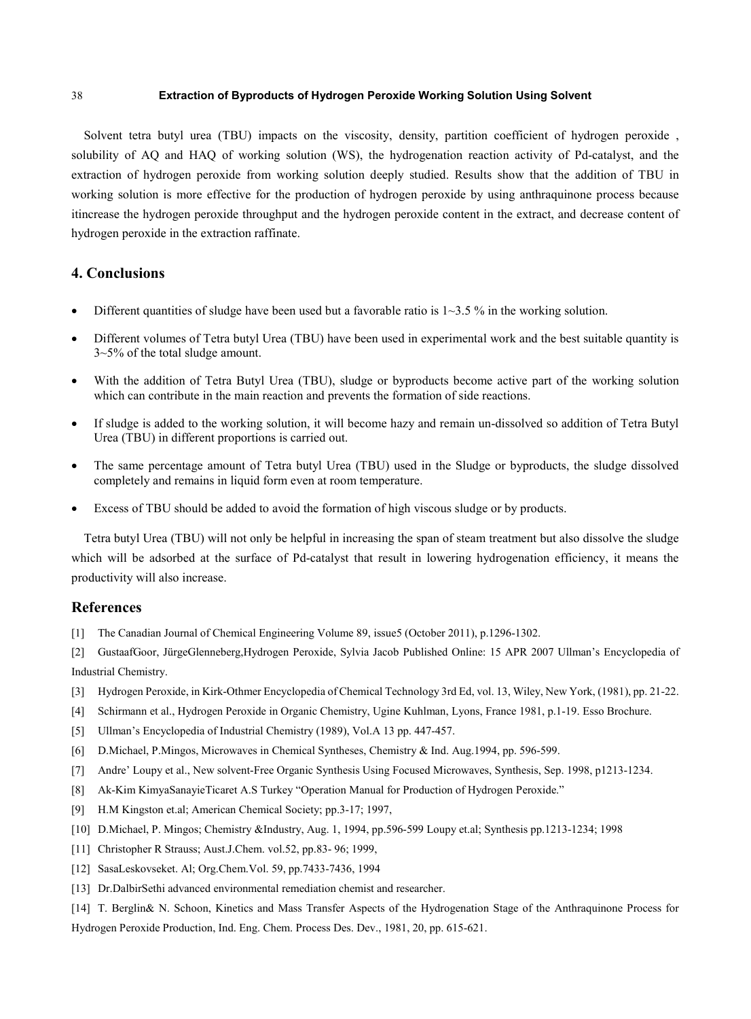#### 38 **Extraction of Byproducts of Hydrogen Peroxide Working Solution Using Solvent**

Solvent tetra butyl urea (TBU) impacts on the viscosity, density, partition coefficient of hydrogen peroxide , solubility of AQ and HAQ of working solution (WS), the hydrogenation reaction activity of Pd-catalyst, and the extraction of hydrogen peroxide from working solution deeply studied. Results show that the addition of TBU in working solution is more effective for the production of hydrogen peroxide by using anthraquinone process because itincrease the hydrogen peroxide throughput and the hydrogen peroxide content in the extract, and decrease content of hydrogen peroxide in the extraction raffinate.

## **4. Conclusions**

- Different quantities of sludge have been used but a favorable ratio is  $1~3~3~\%$  in the working solution.
- Different volumes of Tetra butyl Urea (TBU) have been used in experimental work and the best suitable quantity is 3~5% of the total sludge amount.
- With the addition of Tetra Butyl Urea (TBU), sludge or byproducts become active part of the working solution which can contribute in the main reaction and prevents the formation of side reactions.
- If sludge is added to the working solution, it will become hazy and remain un-dissolved so addition of Tetra Butyl Urea (TBU) in different proportions is carried out.
- The same percentage amount of Tetra butyl Urea (TBU) used in the Sludge or byproducts, the sludge dissolved completely and remains in liquid form even at room temperature.
- Excess of TBU should be added to avoid the formation of high viscous sludge or by products.

Tetra butyl Urea (TBU) will not only be helpful in increasing the span of steam treatment but also dissolve the sludge which will be adsorbed at the surface of Pd-catalyst that result in lowering hydrogenation efficiency, it means the productivity will also increase.

### **References**

[1] The Canadian Journal of Chemical Engineering Volume 89, issue5 (October 2011), p.1296-1302.

[2] GustaafGoor, JürgeGlenneberg,Hydrogen Peroxide, Sylvia Jacob Published Online: 15 APR 2007 Ullman's Encyclopedia of Industrial Chemistry.

- [3] Hydrogen Peroxide, in Kirk-Othmer Encyclopedia of Chemical Technology 3rd Ed, vol. 13, Wiley, New York, (1981), pp. 21-22.
- [4] Schirmann et al., Hydrogen Peroxide in Organic Chemistry, Ugine Kuhlman, Lyons, France 1981, p.1-19. Esso Brochure.
- [5] Ullman's Encyclopedia of Industrial Chemistry (1989), Vol.A 13 pp. 447-457.
- [6] D.Michael, P.Mingos, Microwaves in Chemical Syntheses, Chemistry & Ind. Aug.1994, pp. 596-599.
- [7] Andre' Loupy et al., New solvent-Free Organic Synthesis Using Focused Microwaves, Synthesis, Sep. 1998, p1213-1234.
- [8] Ak-Kim KimyaSanayieTicaret A.S Turkey "Operation Manual for Production of Hydrogen Peroxide."
- [9] H.M Kingston et.al; American Chemical Society; pp.3-17; 1997,
- [10] D.Michael, P. Mingos; Chemistry &Industry, Aug. 1, 1994, pp.596-599 Loupy et.al; Synthesis pp.1213-1234; 1998
- [11] Christopher R Strauss; Aust.J.Chem. vol.52, pp.83- 96; 1999,
- [12] SasaLeskovseket. Al; Org.Chem.Vol. 59, pp.7433-7436, 1994
- [13] Dr.DalbirSethi advanced environmental remediation chemist and researcher.
- [14] T. Berglin& N. Schoon, Kinetics and Mass Transfer Aspects of the Hydrogenation Stage of the Anthraquinone Process for Hydrogen Peroxide Production, Ind. Eng. Chem. Process Des. Dev., 1981, 20, pp. 615-621.